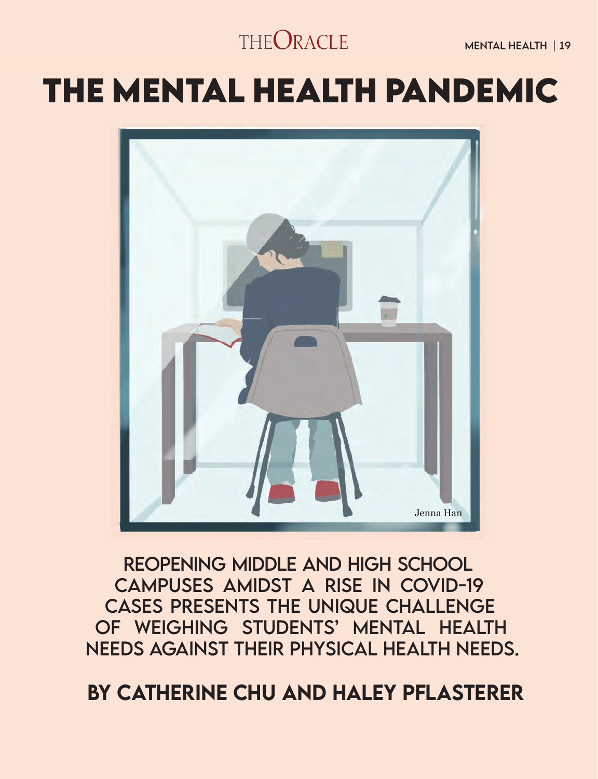### THEORACLE

Mental Health | 19

# **THE MENTAL HEALTH PANDEMIC**



Reopening middle and high School campuses amidst a rise in Covid-19 cases presents the unique challenge of weighing students' mental health needs against their physical health needs.

by Catherine Chu and Haley Pflasterer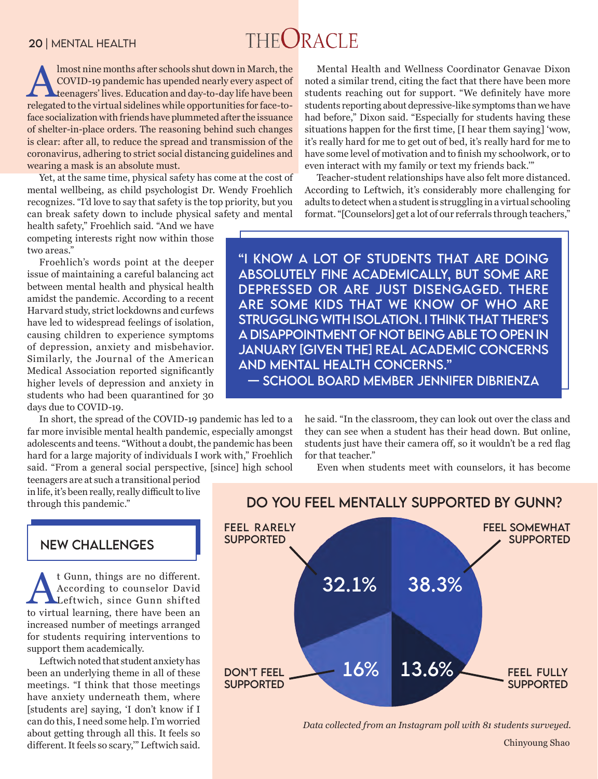## THEORACLE

Imost nine months after schools shut down in March, the<br>COVID-19 pandemic has upended nearly every aspect of<br>teenagers' lives. Education and day-to-day life have been<br>releasted to the virtual sidelines while opportunities COVID-19 pandemic has upended nearly every aspect of teenagers' lives. Education and day-to-day life have been relegated to the virtual sidelines while opportunities for face-toface socialization with friends have plummeted after the issuance of shelter-in-place orders. The reasoning behind such changes is clear: after all, to reduce the spread and transmission of the coronavirus, adhering to strict social distancing guidelines and wearing a mask is an absolute must.

Yet, at the same time, physical safety has come at the cost of mental wellbeing, as child psychologist Dr. Wendy Froehlich recognizes. "I'd love to say that safety is the top priority, but you can break safety down to include physical safety and mental

health safety," Froehlich said. "And we have competing interests right now within those two areas."

Froehlich's words point at the deeper issue of maintaining a careful balancing act between mental health and physical health amidst the pandemic. According to a recent Harvard study, strict lockdowns and curfews have led to widespread feelings of isolation, causing children to experience symptoms of depression, anxiety and misbehavior. Similarly, the Journal of the American Medical Association reported significantly higher levels of depression and anxiety in students who had been quarantined for 30 days due to COVID-19.

In short, the spread of the COVID-19 pandemic has led to a far more invisible mental health pandemic, especially amongst adolescents and teens. "Without a doubt, the pandemic has been hard for a large majority of individuals I work with," Froehlich said. "From a general social perspective, [since] high school

teenagers are at such a transitional period in life, it's been really, really difficult to live through this pandemic."

#### New challenges

<sup>t</sup> Gunn, things are no different.<br>According to counselor David<br>Leftwich, since Gunn shifted According to counselor David Leftwich, since Gunn shifted to virtual learning, there have been an increased number of meetings arranged for students requiring interventions to support them academically.

Leftwich noted that student anxiety has been an underlying theme in all of these meetings. "I think that those meetings have anxiety underneath them, where [students are] saying, 'I don't know if I can do this, I need some help. I'm worried about getting through all this. It feels so different. It feels so scary,'" Leftwich said.

Mental Health and Wellness Coordinator Genavae Dixon noted a similar trend, citing the fact that there have been more students reaching out for support. "We definitely have more students reporting about depressive-like symptoms than we have had before," Dixon said. "Especially for students having these situations happen for the first time, [I hear them saying] 'wow, it's really hard for me to get out of bed, it's really hard for me to have some level of motivation and to finish my schoolwork, or to even interact with my family or text my friends back.'"

Teacher-student relationships have also felt more distanced. According to Leftwich, it's considerably more challenging for adults to detect when a student is struggling in a virtual schooling format. "[Counselors] get a lot of our referrals through teachers,"

"I know a lot of students that are doing absolutely fine academically, but some are depressed or are just disengaged. There are some kids that we know of who are struggling with isolation. I think that there's a disappointment of not being able to open in January [given the] real academic concerns and mental health concerns." — School board member jenn ifer dibrienza

> he said. "In the classroom, they can look out over the class and they can see when a student has their head down. But online, students just have their camera off, so it wouldn't be a red flag for that teacher."

Even when students meet with counselors, it has become



DO YOU FEEL MENTALLY SUPPORTED BY GUNN?

*Data collected from an Instagram poll with 81 students surveyed.* 

Chinyoung Shao